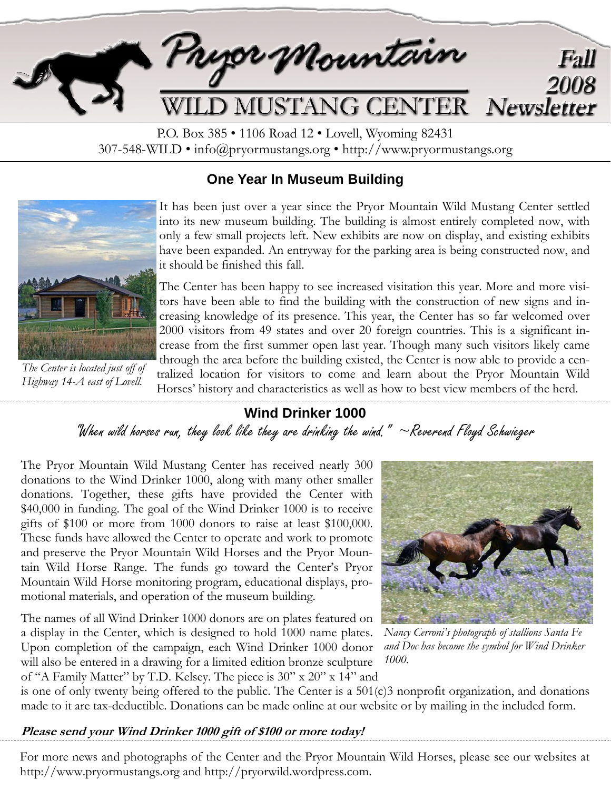

P.O. Box 385 • 1106 Road 12 • Lovell, Wyoming 82431 307-548-WILD • info@pryormustangs.org • http://www.pryormustangs.org

### **One Year In Museum Building**



*The Center is located just off of Highway 14-A east of Lovell.* 

It has been just over a year since the Pryor Mountain Wild Mustang Center settled into its new museum building. The building is almost entirely completed now, with only a few small projects left. New exhibits are now on display, and existing exhibits have been expanded. An entryway for the parking area is being constructed now, and it should be finished this fall.

The Center has been happy to see increased visitation this year. More and more visitors have been able to find the building with the construction of new signs and increasing knowledge of its presence. This year, the Center has so far welcomed over 2000 visitors from 49 states and over 20 foreign countries. This is a significant increase from the first summer open last year. Though many such visitors likely came through the area before the building existed, the Center is now able to provide a centralized location for visitors to come and learn about the Pryor Mountain Wild Horses' history and characteristics as well as how to best view members of the herd.

# **Wind Drinker 1000**

"When wild horses run, they look like they are drinking the wind."  $\sim$  Reverend Floyd Schwieger

The Pryor Mountain Wild Mustang Center has received nearly 300 donations to the Wind Drinker 1000, along with many other smaller donations. Together, these gifts have provided the Center with \$40,000 in funding. The goal of the Wind Drinker 1000 is to receive gifts of \$100 or more from 1000 donors to raise at least \$100,000. These funds have allowed the Center to operate and work to promote and preserve the Pryor Mountain Wild Horses and the Pryor Mountain Wild Horse Range. The funds go toward the Center's Pryor Mountain Wild Horse monitoring program, educational displays, promotional materials, and operation of the museum building.

The names of all Wind Drinker 1000 donors are on plates featured on a display in the Center, which is designed to hold 1000 name plates. Upon completion of the campaign, each Wind Drinker 1000 donor will also be entered in a drawing for a limited edition bronze sculpture of "A Family Matter" by T.D. Kelsey. The piece is 30" x 20" x 14" and



*Nancy Cerroni's photograph of stallions Santa Fe and Doc has become the symbol for Wind Drinker 1000.* 

is one of only twenty being offered to the public. The Center is a 501(c)3 nonprofit organization, and donations made to it are tax-deductible. Donations can be made online at our website or by mailing in the included form.

#### **Please send your Wind Drinker 1000 gift of \$100 or more today!**

For more news and photographs of the Center and the Pryor Mountain Wild Horses, please see our websites at http://www.pryormustangs.org and http://pryorwild.wordpress.com.